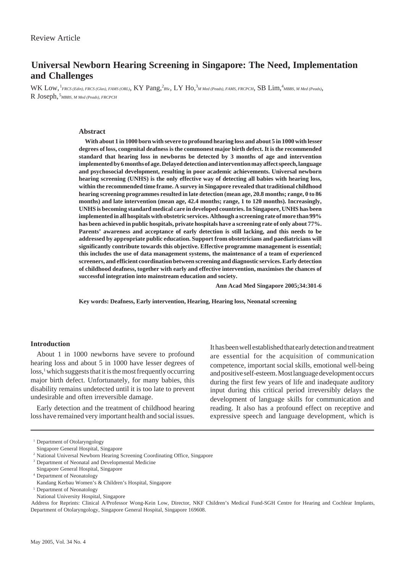# **Universal Newborn Hearing Screening in Singapore: The Need, Implementation and Challenges**

WK Low, <sup>1</sup>FRCS (Edin), FRCS (Glas), FAMS (ORL), KY Pang,<sup>2</sup>BSc, LY Ho,<sup>3</sup>M Med (Peads), FAMS, FRCPCH, SB Lim,<sup>4</sup>MBBS, M Med (Peads), R Joseph, <sup>5</sup> *MBBS, M Med (Peads), FRCPCH*

# **Abstract**

**With about 1 in 1000 born with severe to profound hearing loss and about 5 in 1000 with lesser degrees of loss, congenital deafness is the commonest major birth defect. It is the recommended standard that hearing loss in newborns be detected by 3 months of age and intervention implemented by 6 months of age. Delayed detection and intervention may affect speech, language and psychosocial development, resulting in poor academic achievements. Universal newborn hearing screening (UNHS) is the only effective way of detecting all babies with hearing loss, within the recommended time frame. A survey in Singapore revealed that traditional childhood hearing screening programmes resulted in late detection (mean age, 20.8 months; range, 0 to 86 months) and late intervention (mean age, 42.4 months; range, 1 to 120 months). Increasingly, UNHS is becoming standard medical care in developed countries. In Singapore, UNHS has been implemented in all hospitals with obstetric services. Although a screening rate of more than 99% has been achieved in public hospitals, private hospitals have a screening rate of only about 77%. Parents' awareness and acceptance of early detection is still lacking, and this needs to be addressed by appropriate public education. Support from obstetricians and paediatricians will significantly contribute towards this objective. Effective programme management is essential; this includes the use of data management systems, the maintenance of a team of experienced screeners, and efficient coordination between screening and diagnostic services. Early detection of childhood deafness, together with early and effective intervention, maximises the chances of successful integration into mainstream education and society.**

**Ann Acad Med Singapore 2005;34:301-6**

**Key words: Deafness, Early intervention, Hearing, Hearing loss, Neonatal screening**

## **Introduction**

About 1 in 1000 newborns have severe to profound hearing loss and about 5 in 1000 have lesser degrees of loss,<sup>1</sup> which suggests that it is the most frequently occurring major birth defect. Unfortunately, for many babies, this disability remains undetected until it is too late to prevent undesirable and often irreversible damage.

Early detection and the treatment of childhood hearing loss have remained very important health and social issues.

It has been well established that early detection and treatment are essential for the acquisition of communication competence, important social skills, emotional well-being and positive self-esteem. Most language development occurs during the first few years of life and inadequate auditory input during this critical period irreversibly delays the development of language skills for communication and reading. It also has a profound effect on receptive and expressive speech and language development, which is

Address for Reprints: Clinical A/Professor Wong-Kein Low, Director, NKF Children's Medical Fund-SGH Centre for Hearing and Cochlear Implants, Department of Otolaryngology, Singapore General Hospital, Singapore 169608.

<sup>&</sup>lt;sup>1</sup> Department of Otolaryngology

Singapore General Hospital, Singapore

<sup>&</sup>lt;sup>2</sup> National Universal Newborn Hearing Screening Coordinating Office, Singapore

<sup>3</sup> Department of Neonatal and Developmental Medicine

Singapore General Hospital, Singapore

<sup>4</sup> Department of Neonatology

Kandang Kerbau Women's & Children's Hospital, Singapore

<sup>5</sup> Department of Neonatology

National University Hospital, Singapore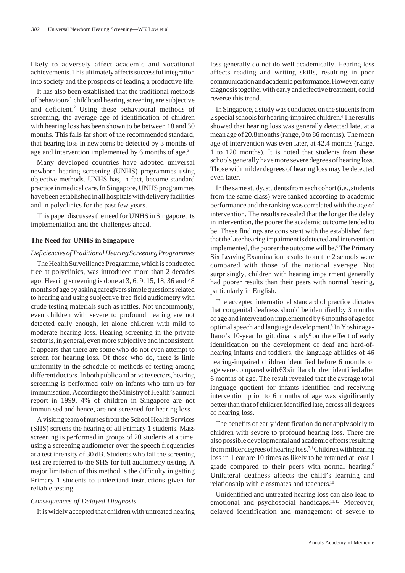likely to adversely affect academic and vocational achievements. This ultimately affects successful integration into society and the prospects of leading a productive life.

It has also been established that the traditional methods of behavioural childhood hearing screening are subjective and deficient.<sup>2</sup> Using these behavioural methods of screening, the average age of identification of children with hearing loss has been shown to be between 18 and 30 months. This falls far short of the recommended standard, that hearing loss in newborns be detected by 3 months of age and intervention implemented by 6 months of age.<sup>3</sup>

Many developed countries have adopted universal newborn hearing screening (UNHS) programmes using objective methods. UNHS has, in fact, become standard practice in medical care. In Singapore, UNHS programmes have been established in all hospitals with delivery facilities and in polyclinics for the past few years.

This paper discusses the need for UNHS in Singapore, its implementation and the challenges ahead.

## **The Need for UNHS in Singapore**

#### *Deficiencies of Traditional Hearing Screening Programmes*

The Health Surveillance Programme, which is conducted free at polyclinics, was introduced more than 2 decades ago. Hearing screening is done at 3, 6, 9, 15, 18, 36 and 48 months of age by asking caregivers simple questions related to hearing and using subjective free field audiometry with crude testing materials such as rattles. Not uncommonly, even children with severe to profound hearing are not detected early enough, let alone children with mild to moderate hearing loss. Hearing screening in the private sector is, in general, even more subjective and inconsistent. It appears that there are some who do not even attempt to screen for hearing loss. Of those who do, there is little uniformity in the schedule or methods of testing among different doctors. In both public and private sectors, hearing screening is performed only on infants who turn up for immunisation. According to the Ministry of Health's annual report in 1999, 4% of children in Singapore are not immunised and hence, are not screened for hearing loss.

A visiting team of nurses from the School Health Services (SHS) screens the hearing of all Primary 1 students. Mass screening is performed in groups of 20 students at a time, using a screening audiometer over the speech frequencies at a test intensity of 30 dB. Students who fail the screening test are referred to the SHS for full audiometry testing. A major limitation of this method is the difficulty in getting Primary 1 students to understand instructions given for reliable testing.

# *Consequences of Delayed Diagnosis*

It is widely accepted that children with untreated hearing

loss generally do not do well academically. Hearing loss affects reading and writing skills, resulting in poor communication and academic performance. However, early diagnosis together with early and effective treatment, could reverse this trend.

In Singapore, a study was conducted on the students from 2 special schools for hearing-impaired children.4 The results showed that hearing loss was generally detected late, at a mean age of 20.8 months (range, 0 to 86 months). The mean age of intervention was even later, at 42.4 months (range, 1 to 120 months). It is noted that students from these schools generally have more severe degrees of hearing loss. Those with milder degrees of hearing loss may be detected even later.

In the same study, students from each cohort (i.e., students from the same class) were ranked according to academic performance and the ranking was correlated with the age of intervention. The results revealed that the longer the delay in intervention, the poorer the academic outcome tended to be. These findings are consistent with the established fact that the later hearing impairment is detected and intervention implemented, the poorer the outcome will be.<sup>5</sup> The Primary Six Leaving Examination results from the 2 schools were compared with those of the national average. Not surprisingly, children with hearing impairment generally had poorer results than their peers with normal hearing, particularly in English.

The accepted international standard of practice dictates that congenital deafness should be identified by 3 months of age and intervention implemented by 6 months of age for optimal speech and language development.<sup>5</sup> In Yoshinaga-Itano's 10-year longitudinal study<sup>6</sup> on the effect of early identification on the development of deaf and hard-ofhearing infants and toddlers, the language abilities of 46 hearing-impaired children identified before 6 months of age were compared with 63 similar children identified after 6 months of age. The result revealed that the average total language quotient for infants identified and receiving intervention prior to 6 months of age was significantly better than that of children identified late, across all degrees of hearing loss.

The benefits of early identification do not apply solely to children with severe to profound hearing loss. There are also possible developmental and academic effects resulting from milder degrees of hearing loss.<sup>7,8</sup> Children with hearing loss in 1 ear are 10 times as likely to be retained at least 1 grade compared to their peers with normal hearing.<sup>9</sup> Unilateral deafness affects the child's learning and relationship with classmates and teachers.10

Unidentified and untreated hearing loss can also lead to emotional and psychosocial handicaps.<sup>11,12</sup> Moreover, delayed identification and management of severe to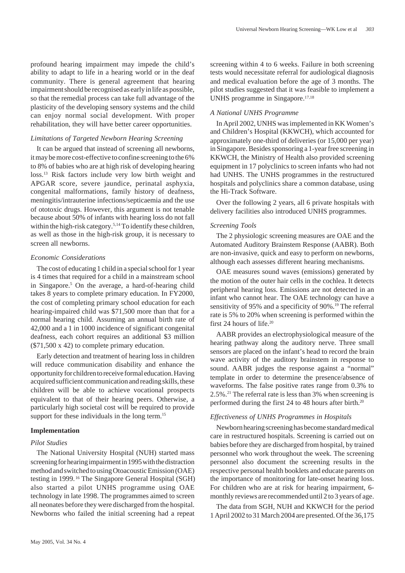profound hearing impairment may impede the child's ability to adapt to life in a hearing world or in the deaf community. There is general agreement that hearing impairment should be recognised as early in life as possible, so that the remedial process can take full advantage of the plasticity of the developing sensory systems and the child can enjoy normal social development. With proper rehabilitation, they will have better career opportunities.

# *Limitations of Targeted Newborn Hearing Screening*

It can be argued that instead of screening all newborns, it may be more cost-effective to confine screening to the 6% to 8% of babies who are at high risk of developing hearing loss.13 Risk factors include very low birth weight and APGAR score, severe jaundice, perinatal asphyxia, congenital malformations, family history of deafness, meningitis/intrauterine infections/septicaemia and the use of ototoxic drugs. However, this argument is not tenable because about 50% of infants with hearing loss do not fall within the high-risk category.<sup>5,14</sup> To identify these children, as well as those in the high-risk group, it is necessary to screen all newborns.

### *Economic Considerations*

The cost of educating 1 child in a special school for 1 year is 4 times that required for a child in a mainstream school in Singapore.<sup>5</sup> On the average, a hard-of-hearing child takes 8 years to complete primary education. In FY2000, the cost of completing primary school education for each hearing-impaired child was \$71,500 more than that for a normal hearing child. Assuming an annual birth rate of 42,000 and a 1 in 1000 incidence of significant congenital deafness, each cohort requires an additional \$3 million (\$71,500 x 42) to complete primary education.

Early detection and treatment of hearing loss in children will reduce communication disability and enhance the opportunity for children to receive formal education. Having acquired sufficient communication and reading skills, these children will be able to achieve vocational prospects equivalent to that of their hearing peers. Otherwise, a particularly high societal cost will be required to provide support for these individuals in the long term.<sup>15</sup>

## **Implementation**

## *Pilot Studies*

The National University Hospital (NUH) started mass screening for hearing impairment in 1995 with the distraction method and switched to using Otoacoustic Emission (OAE) testing in 1999. 16 The Singapore General Hospital (SGH) also started a pilot UNHS programme using OAE technology in late 1998. The programmes aimed to screen all neonates before they were discharged from the hospital. Newborns who failed the initial screening had a repeat

screening within 4 to 6 weeks. Failure in both screening tests would necessitate referral for audiological diagnosis and medical evaluation before the age of 3 months. The pilot studies suggested that it was feasible to implement a UNHS programme in Singapore.17,18

## *A National UNHS Programme*

In April 2002, UNHS was implemented in KK Women's and Children's Hospital (KKWCH), which accounted for approximately one-third of deliveries (or 15,000 per year) in Singapore. Besides sponsoring a 1-year free screening in KKWCH, the Ministry of Health also provided screening equipment in 17 polyclinics to screen infants who had not had UNHS. The UNHS programmes in the restructured hospitals and polyclinics share a common database, using the Hi-Track Software.

Over the following 2 years, all 6 private hospitals with delivery facilities also introduced UNHS programmes.

## *Screening Tools*

The 2 physiologic screening measures are OAE and the Automated Auditory Brainstem Response (AABR). Both are non-invasive, quick and easy to perform on newborns, although each assesses different hearing mechanisms.

OAE measures sound waves (emissions) generated by the motion of the outer hair cells in the cochlea. It detects peripheral hearing loss. Emissions are not detected in an infant who cannot hear. The OAE technology can have a sensitivity of 95% and a specificity of 90%.<sup>19</sup> The referral rate is 5% to 20% when screening is performed within the first 24 hours of life.20

AABR provides an electrophysiological measure of the hearing pathway along the auditory nerve. Three small sensors are placed on the infant's head to record the brain wave activity of the auditory brainstem in response to sound. AABR judges the response against a "normal" template in order to determine the presence/absence of waveforms. The false positive rates range from 0.3% to 2.5%.21 The referral rate is less than 3% when screening is performed during the first 24 to 48 hours after birth.20

#### *Effectiveness of UNHS Programmes in Hospitals*

Newborn hearing screening has become standard medical care in restructured hospitals. Screening is carried out on babies before they are discharged from hospital, by trained personnel who work throughout the week. The screening personnel also document the screening results in the respective personal health booklets and educate parents on the importance of monitoring for late-onset hearing loss. For children who are at risk for hearing impairment, 6 monthly reviews are recommended until 2 to 3 years of age.

The data from SGH, NUH and KKWCH for the period 1 April 2002 to 31 March 2004 are presented. Of the 36,175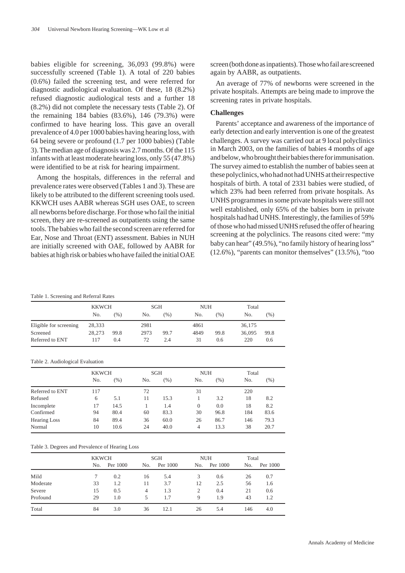babies eligible for screening, 36,093 (99.8%) were successfully screened (Table 1). A total of 220 babies (0.6%) failed the screening test, and were referred for diagnostic audiological evaluation. Of these, 18 (8.2%) refused diagnostic audiological tests and a further 18 (8.2%) did not complete the necessary tests (Table 2). Of the remaining 184 babies (83.6%), 146 (79.3%) were confirmed to have hearing loss. This gave an overall prevalence of 4.0 per 1000 babies having hearing loss, with 64 being severe or profound (1.7 per 1000 babies) (Table 3). The median age of diagnosis was 2.7 months. Of the 115 infants with at least moderate hearing loss, only 55 (47.8%) were identified to be at risk for hearing impairment.

Among the hospitals, differences in the referral and prevalence rates were observed (Tables 1 and 3). These are likely to be attributed to the different screening tools used. KKWCH uses AABR whereas SGH uses OAE, to screen all newborns before discharge. For those who fail the initial screen, they are re-screened as outpatients using the same tools. The babies who fail the second screen are referred for Ear, Nose and Throat (ENT) assessment. Babies in NUH are initially screened with OAE, followed by AABR for babies at high risk or babies who have failed the initial OAE screen (both done as inpatients). Those who fail are screened again by AABR, as outpatients.

An average of 77% of newborns were screened in the private hospitals. Attempts are being made to improve the screening rates in private hospitals.

## **Challenges**

Parents' acceptance and awareness of the importance of early detection and early intervention is one of the greatest challenges. A survey was carried out at 9 local polyclinics in March 2003, on the families of babies 4 months of age and below, who brought their babies there for immunisation. The survey aimed to establish the number of babies seen at these polyclinics, who had not had UNHS at their respective hospitals of birth. A total of 2331 babies were studied, of which 23% had been referred from private hospitals. As UNHS programmes in some private hospitals were still not well established, only 65% of the babies born in private hospitals had had UNHS. Interestingly, the families of 59% of those who had missed UNHS refused the offer of hearing screening at the polyclinics. The reasons cited were: "my baby can hear" (49.5%), "no family history of hearing loss" (12.6%), "parents can monitor themselves" (13.5%), "too

#### Table 1. Screening and Referral Rates

|                        | <b>KKWCH</b> |      | <b>SGH</b> |         | <b>NUH</b> |        | Total  |        |
|------------------------|--------------|------|------------|---------|------------|--------|--------|--------|
|                        | No.          | (%)  | No.        | $(\% )$ | No.        | $(\%)$ | No.    | $(\%)$ |
| Eligible for screening | 28,333       |      | 2981       |         | 4861       |        | 36,175 |        |
| Screened               | 28,273       | 99.8 | 2973       | 99.7    | 4849       | 99.8   | 36,095 | 99.8   |
| Referred to ENT        | 117          | 0.4  | 72         | 2.4     | 31         | 0.6    | 220    | 0.6    |

#### Table 2. Audiological Evaluation

|                 | <b>KKWCH</b> |        | <b>SGH</b> |        | <b>NUH</b> |        | Total |      |
|-----------------|--------------|--------|------------|--------|------------|--------|-------|------|
|                 | No.          | $(\%)$ | No.        | $(\%)$ | No.        | $(\%)$ | No.   | (% ) |
| Referred to ENT | 117          |        | 72         |        | 31         |        | 220   |      |
| Refused         | 6            | 5.1    | 11         | 15.3   |            | 3.2    | 18    | 8.2  |
| Incomplete      | 17           | 14.5   |            | 1.4    | $\Omega$   | 0.0    | 18    | 8.2  |
| Confirmed       | 94           | 80.4   | 60         | 83.3   | 30         | 96.8   | 184   | 83.6 |
| Hearing Loss    | 84           | 89.4   | 36         | 60.0   | 26         | 86.7   | 146   | 79.3 |
| Normal          | 10           | 10.6   | 24         | 40.0   | 4          | 13.3   | 38    | 20.7 |

#### Table 3. Degrees and Prevalence of Hearing Loss

|          | <b>KKWCH</b> |          | SGH |          | <b>NUH</b> |          | Total |          |
|----------|--------------|----------|-----|----------|------------|----------|-------|----------|
|          | No.          | Per 1000 | No. | Per 1000 | No.        | Per 1000 | No.   | Per 1000 |
| Mild     |              | 0.2      | 16  | 5.4      | 3          | 0.6      | 26    | 0.7      |
| Moderate | 33           | 1.2      | 11  | 3.7      | 12         | 2.5      | 56    | 1.6      |
| Severe   | 15           | 0.5      | 4   | 1.3      | 2          | 0.4      | 21    | 0.6      |
| Profound | 29           | 1.0      |     | 1.7      | 9          | 1.9      | 43    | 1.2      |
| Total    | 84           | 3.0      | 36  | 12.1     | 26         | 5.4      | 146   | 4.0      |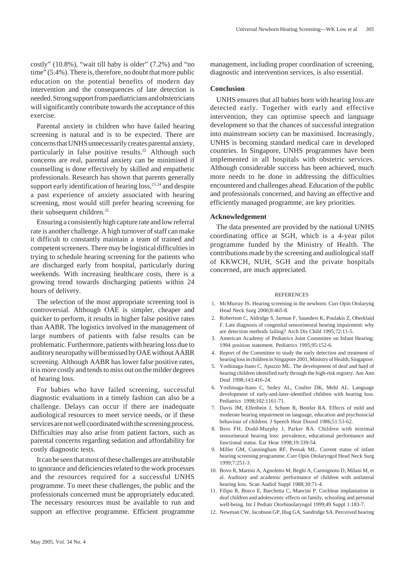costly" (10.8%), "wait till baby is older" (7.2%) and "no time" (5.4%). There is, therefore, no doubt that more public education on the potential benefits of modern day intervention and the consequences of late detection is needed. Strong support from paediatricians and obstetricians will significantly contribute towards the acceptance of this exercise.

Parental anxiety in children who have failed hearing screening is natural and is to be expected. There are concerns that UNHS unnecessarily creates parental anxiety, particularly in false positive results.<sup>22</sup> Although such concerns are real, parental anxiety can be minimised if counselling is done effectively by skilled and empathetic professionals. Research has shown that parents generally support early identification of hearing  $loss$ ,  $23,24$  and despite a past experience of anxiety associated with hearing screening, most would still prefer hearing screening for their subsequent children.<sup>25</sup>

Ensuring a consistently high capture rate and low referral rate is another challenge. A high turnover of staff can make it difficult to constantly maintain a team of trained and competent screeners. There may be logistical difficulties in trying to schedule hearing screening for the patients who are discharged early from hospital, particularly during weekends. With increasing healthcare costs, there is a growing trend towards discharging patients within 24 hours of delivery.

The selection of the most appropriate screening tool is controversial. Although OAE is simpler, cheaper and quicker to perform, it results in higher false positive rates than AABR. The logistics involved in the management of large numbers of patients with false results can be problematic. Furthermore, patients with hearing loss due to auditory neuropathy will be missed by OAE without AABR screening. Although AABR has lower false positive rates, it is more costly and tends to miss out on the milder degrees of hearing loss.

For babies who have failed screening, successful diagnostic evaluations in a timely fashion can also be a challenge. Delays can occur if there are inadequate audiological resources to meet service needs, or if these services are not well coordinated with the screening process. Difficulties may also arise from patient factors, such as parental concerns regarding sedation and affordability for costly diagnostic tests.

It can be seen that most of these challenges are attributable to ignorance and deficiencies related to the work processes and the resources required for a successful UNHS programme. To meet these challenges, the public and the professionals concerned must be appropriately educated. The necessary resources must be available to run and support an effective programme. Efficient programme

management, including proper coordination of screening, diagnostic and intervention services, is also essential.

# **Conclusion**

UNHS ensures that all babies born with hearing loss are detected early. Together with early and effective intervention, they can optimise speech and language development so that the chances of successful integration into mainstream society can be maximised. Increasingly, UNHS is becoming standard medical care in developed countries. In Singapore, UNHS programmes have been implemented in all hospitals with obstetric services. Although considerable success has been achieved, much more needs to be done in addressing the difficulties encountered and challenges ahead. Education of the public and professionals concerned, and having an effective and efficiently managed programme, are key priorities.

#### **Acknowledgement**

The data presented are provided by the national UNHS coordinating office at SGH, which is a 4-year pilot programme funded by the Ministry of Health. The contributions made by the screening and audiological staff of KKWCH, NUH, SGH and the private hospitals concerned, are much appreciated.

#### **REFERENCES**

- 1. McMurray JS. Hearing screening in the newborn. Curr Opin Otolaryng Head Neck Surg 2000;8:465-8.
- 2. Robertson C, Aldridge S, Jarman F, Saunders K, Poulakis Z, Oberklaid F. Late diagnosis of congenital sensorineural hearing impairment: why are detection methods failing? Arch Dis Child 1995;72:11-5.
- 3. American Academy of Pediatrics Joint Committee on Infant Hearing: 1994 position statement. Pediatrics 1995;95:152-6.
- 4. Report of the Committee to study the early detection and treatment of hearing loss in children in Singapore 2001, Ministry of Health, Singapore.
- 5. Yoshinaga-Itano C, Apuzzo ML. The development of deaf and hard of hearing children identified early through the high-risk registry. Am Ann Deaf 1998;143:416-24.
- 6. Yoshinaga-Itano C, Sedey AL, Coulter DK, Mehl AL. Language development of early-and-later-identified children with hearing loss. Pediatrics 1998;102:1161-71.
- 7. Davis JM, Elfenbein J, Schum R, Bentler RA. Effects of mild and moderate hearing impairment on language, education and psychosocial behaviour of children. J Speech Hear Disord 1986;51:53-62.
- 8. Bess FH, Dodd-Murphy J, Parker RA. Children with minimal sensorineural hearing loss: prevalence, educational performance and functional status. Ear Hear 1998;19:339-54.
- 9. Miller GM, Cunningham RF, Pensak ML. Current status of infant hearing screening programme. Curr Opin Otolaryngol Head Neck Surg 1999;7:251-3.
- 10. Bovo R, Martini A, Agnoletto M, Beghi A, Carmignoto D, Milani M, et al. Auditory and academic performance of children with unilateral hearing loss. Scan Audiol Suppl 1988;30:71-4.
- 11. Filipo R, Bosco E, Barchetta C, Mancini P. Cochlear implantation in deaf children and adolescents: effects on family, schooling and personal well-being. Int J Pediatr Otorhinolaryngol 1999;49 Suppl 1:183-7.
- 12. Newman CW, Jacobson GP, Hug GA, Sandridge SA. Perceived hearing